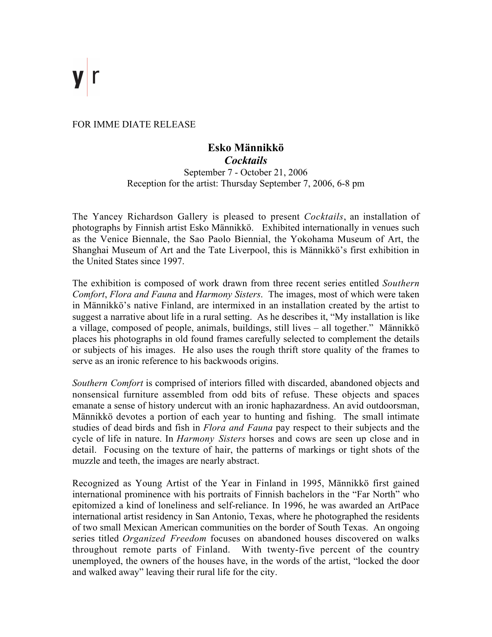FOR IMME DIATE RELEASE

## **Esko Männikkö** *Cocktails*

September 7 - October 21, 2006 Reception for the artist: Thursday September 7, 2006, 6-8 pm

The Yancey Richardson Gallery is pleased to present *Cocktails*, an installation of photographs by Finnish artist Esko Männikkö. Exhibited internationally in venues such as the Venice Biennale, the Sao Paolo Biennial, the Yokohama Museum of Art, the Shanghai Museum of Art and the Tate Liverpool, this is Männikkö's first exhibition in the United States since 1997.

The exhibition is composed of work drawn from three recent series entitled *Southern Comfort*, *Flora and Fauna* and *Harmony Sisters*. The images, most of which were taken in Männikkö's native Finland, are intermixed in an installation created by the artist to suggest a narrative about life in a rural setting. As he describes it, "My installation is like a village, composed of people, animals, buildings, still lives – all together." Männikkö places his photographs in old found frames carefully selected to complement the details or subjects of his images. He also uses the rough thrift store quality of the frames to serve as an ironic reference to his backwoods origins.

*Southern Comfort* is comprised of interiors filled with discarded, abandoned objects and nonsensical furniture assembled from odd bits of refuse. These objects and spaces emanate a sense of history undercut with an ironic haphazardness. An avid outdoorsman, Männikkö devotes a portion of each year to hunting and fishing. The small intimate studies of dead birds and fish in *Flora and Fauna* pay respect to their subjects and the cycle of life in nature. In *Harmony Sisters* horses and cows are seen up close and in detail. Focusing on the texture of hair, the patterns of markings or tight shots of the muzzle and teeth, the images are nearly abstract.

Recognized as Young Artist of the Year in Finland in 1995, Männikkö first gained international prominence with his portraits of Finnish bachelors in the "Far North" who epitomized a kind of loneliness and self-reliance. In 1996, he was awarded an ArtPace international artist residency in San Antonio, Texas, where he photographed the residents of two small Mexican American communities on the border of South Texas. An ongoing series titled *Organized Freedom* focuses on abandoned houses discovered on walks throughout remote parts of Finland. With twenty-five percent of the country unemployed, the owners of the houses have, in the words of the artist, "locked the door and walked away" leaving their rural life for the city.